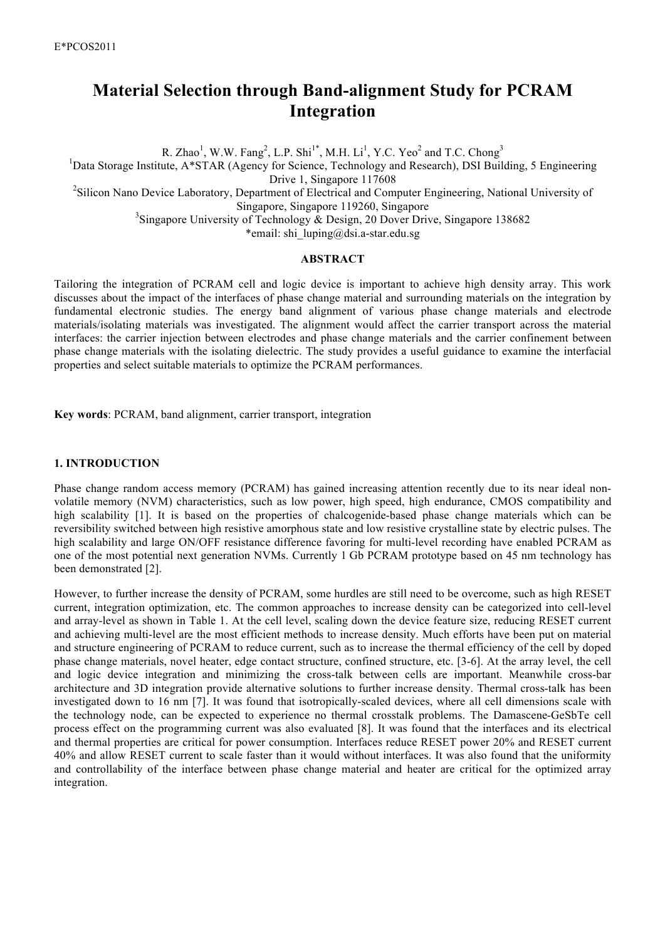# **Material Selection through Band-alignment Study for PCRAM Integration**

R. Zhao<sup>1</sup>, W.W. Fang<sup>2</sup>, L.P. Shi<sup>1\*</sup>, M.H. Li<sup>1</sup>, Y.C. Yeo<sup>2</sup> and T.C. Chong<sup>3</sup> <sup>1</sup>Data Storage Institute, A\*STAR (Agency for Science, Technology and Research), DSI Building, 5 Engineering Drive 1, Singapore 117608 <sup>2</sup>Silicon Nano Device Laboratory, Department of Electrical and Computer Engineering, National University of Singapore, Singapore 119260, Singapore <sup>3</sup>Singapore University of Technology & Design, 20 Dover Drive, Singapore 138682 \*email: shi\_luping@dsi.a-star.edu.sg

#### **ABSTRACT**

Tailoring the integration of PCRAM cell and logic device is important to achieve high density array. This work discusses about the impact of the interfaces of phase change material and surrounding materials on the integration by fundamental electronic studies. The energy band alignment of various phase change materials and electrode materials/isolating materials was investigated. The alignment would affect the carrier transport across the material interfaces: the carrier injection between electrodes and phase change materials and the carrier confinement between phase change materials with the isolating dielectric. The study provides a useful guidance to examine the interfacial properties and select suitable materials to optimize the PCRAM performances.

**Key words**: PCRAM, band alignment, carrier transport, integration

#### **1. INTRODUCTION**

Phase change random access memory (PCRAM) has gained increasing attention recently due to its near ideal nonvolatile memory (NVM) characteristics, such as low power, high speed, high endurance, CMOS compatibility and high scalability [1]. It is based on the properties of chalcogenide-based phase change materials which can be reversibility switched between high resistive amorphous state and low resistive crystalline state by electric pulses. The high scalability and large ON/OFF resistance difference favoring for multi-level recording have enabled PCRAM as one of the most potential next generation NVMs. Currently 1 Gb PCRAM prototype based on 45 nm technology has been demonstrated [2].

However, to further increase the density of PCRAM, some hurdles are still need to be overcome, such as high RESET current, integration optimization, etc. The common approaches to increase density can be categorized into cell-level and array-level as shown in Table 1. At the cell level, scaling down the device feature size, reducing RESET current and achieving multi-level are the most efficient methods to increase density. Much efforts have been put on material and structure engineering of PCRAM to reduce current, such as to increase the thermal efficiency of the cell by doped phase change materials, novel heater, edge contact structure, confined structure, etc. [3-6]. At the array level, the cell and logic device integration and minimizing the cross-talk between cells are important. Meanwhile cross-bar architecture and 3D integration provide alternative solutions to further increase density. Thermal cross-talk has been investigated down to 16 nm [7]. It was found that isotropically-scaled devices, where all cell dimensions scale with the technology node, can be expected to experience no thermal crosstalk problems. The Damascene-GeSbTe cell process effect on the programming current was also evaluated [8]. It was found that the interfaces and its electrical and thermal properties are critical for power consumption. Interfaces reduce RESET power 20% and RESET current 40% and allow RESET current to scale faster than it would without interfaces. It was also found that the uniformity and controllability of the interface between phase change material and heater are critical for the optimized array integration.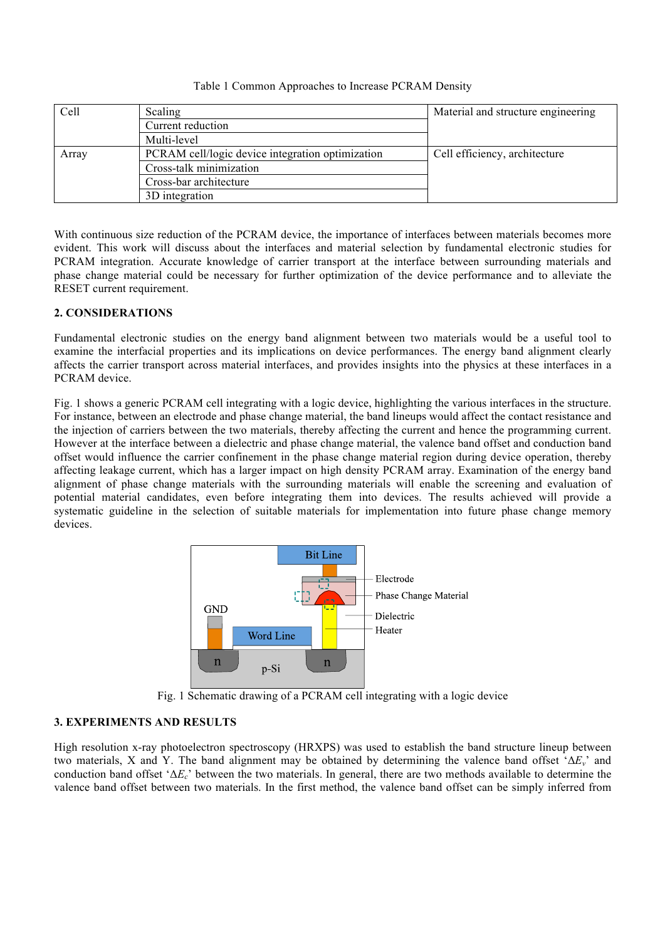#### Table 1 Common Approaches to Increase PCRAM Density

| Cell  | Scaling                                          | Material and structure engineering |  |  |
|-------|--------------------------------------------------|------------------------------------|--|--|
|       | Current reduction                                |                                    |  |  |
|       | Multi-level                                      |                                    |  |  |
| Array | PCRAM cell/logic device integration optimization | Cell efficiency, architecture      |  |  |
|       | Cross-talk minimization                          |                                    |  |  |
|       | Cross-bar architecture                           |                                    |  |  |
|       | 3D integration                                   |                                    |  |  |

With continuous size reduction of the PCRAM device, the importance of interfaces between materials becomes more evident. This work will discuss about the interfaces and material selection by fundamental electronic studies for PCRAM integration. Accurate knowledge of carrier transport at the interface between surrounding materials and phase change material could be necessary for further optimization of the device performance and to alleviate the RESET current requirement.

## **2. CONSIDERATIONS**

Fundamental electronic studies on the energy band alignment between two materials would be a useful tool to examine the interfacial properties and its implications on device performances. The energy band alignment clearly affects the carrier transport across material interfaces, and provides insights into the physics at these interfaces in a PCRAM device.

Fig. 1 shows a generic PCRAM cell integrating with a logic device, highlighting the various interfaces in the structure. For instance, between an electrode and phase change material, the band lineups would affect the contact resistance and the injection of carriers between the two materials, thereby affecting the current and hence the programming current. However at the interface between a dielectric and phase change material, the valence band offset and conduction band offset would influence the carrier confinement in the phase change material region during device operation, thereby affecting leakage current, which has a larger impact on high density PCRAM array. Examination of the energy band alignment of phase change materials with the surrounding materials will enable the screening and evaluation of potential material candidates, even before integrating them into devices. The results achieved will provide a systematic guideline in the selection of suitable materials for implementation into future phase change memory devices.



Fig. 1 Schematic drawing of a PCRAM cell integrating with a logic device

## **3. EXPERIMENTS AND RESULTS**

High resolution x-ray photoelectron spectroscopy (HRXPS) was used to establish the band structure lineup between two materials, X and Y. The band alignment may be obtained by determining the valence band offset 'Δ*Ev*' and conduction band offset 'Δ*Ec*' between the two materials. In general, there are two methods available to determine the valence band offset between two materials. In the first method, the valence band offset can be simply inferred from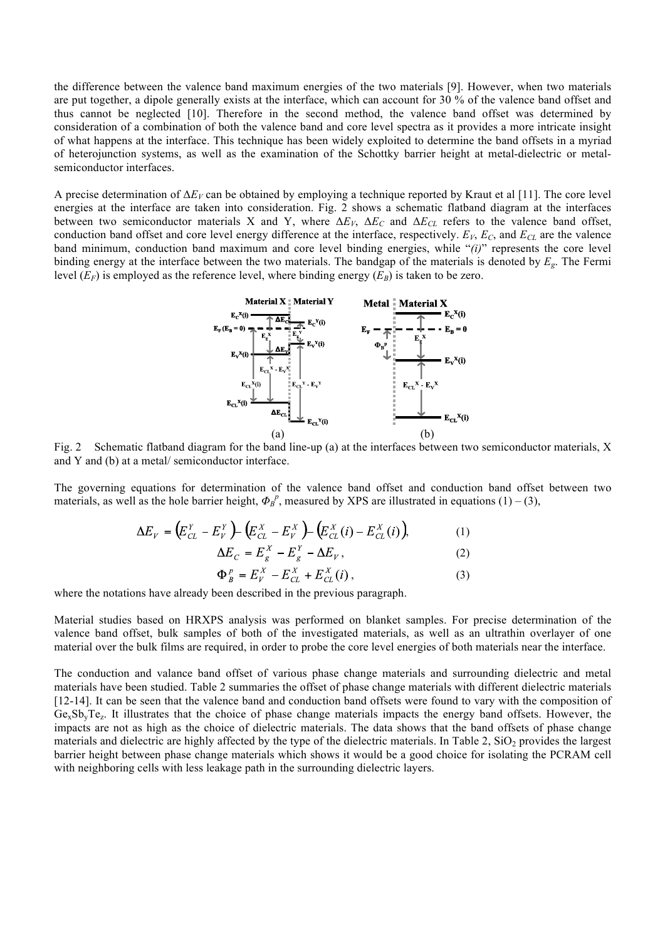the difference between the valence band maximum energies of the two materials [9]. However, when two materials are put together, a dipole generally exists at the interface, which can account for 30 % of the valence band offset and thus cannot be neglected [10]. Therefore in the second method, the valence band offset was determined by consideration of a combination of both the valence band and core level spectra as it provides a more intricate insight of what happens at the interface. This technique has been widely exploited to determine the band offsets in a myriad of heterojunction systems, as well as the examination of the Schottky barrier height at metal-dielectric or metalsemiconductor interfaces.

A precise determination of  $\Delta E_V$  can be obtained by employing a technique reported by Kraut et al [11]. The core level energies at the interface are taken into consideration. Fig. 2 shows a schematic flatband diagram at the interfaces between two semiconductor materials X and Y, where  $\Delta E_V$ ,  $\Delta E_C$  and  $\Delta E_{CL}$  refers to the valence band offset, conduction band offset and core level energy difference at the interface, respectively.  $E_V$ ,  $E_C$ , and  $E_{CL}$  are the valence band minimum, conduction band maximum and core level binding energies, while "*(i)*" represents the core level binding energy at the interface between the two materials. The bandgap of the materials is denoted by *Eg*. The Fermi level  $(E_F)$  is employed as the reference level, where binding energy  $(E_B)$  is taken to be zero.



Fig. 2 Schematic flatband diagram for the band line-up (a) at the interfaces between two semiconductor materials, X and Y and (b) at a metal/ semiconductor interface.

The governing equations for determination of the valence band offset and conduction band offset between two materials, as well as the hole barrier height,  $\Phi_B^p$ , measured by XPS are illustrated in equations (1) – (3),

$$
\Delta E_V = (E_{CL}^Y - E_V^Y) - (E_{CL}^X - E_V^X) - (E_{CL}^X(i) - E_{CL}^X(i)),
$$
(1)

$$
\Delta E_C = E_g^X - E_g^Y - \Delta E_V, \qquad (2)
$$

$$
\Phi_B^P = E_V^X - E_{CL}^X + E_{CL}^X(i), \tag{3}
$$

where the notations have already been described in the previous paragraph.

Material studies based on HRXPS analysis was performed on blanket samples. For precise determination of the valence band offset, bulk samples of both of the investigated materials, as well as an ultrathin overlayer of one material over the bulk films are required, in order to probe the core level energies of both materials near the interface.

The conduction and valance band offset of various phase change materials and surrounding dielectric and metal materials have been studied. Table 2 summaries the offset of phase change materials with different dielectric materials [12-14]. It can be seen that the valence band and conduction band offsets were found to vary with the composition of  $Ge<sub>x</sub>Sb<sub>y</sub>Te<sub>z</sub>$ . It illustrates that the choice of phase change materials impacts the energy band offsets. However, the impacts are not as high as the choice of dielectric materials. The data shows that the band offsets of phase change materials and dielectric are highly affected by the type of the dielectric materials. In Table  $2$ ,  $SiO<sub>2</sub>$  provides the largest barrier height between phase change materials which shows it would be a good choice for isolating the PCRAM cell with neighboring cells with less leakage path in the surrounding dielectric layers.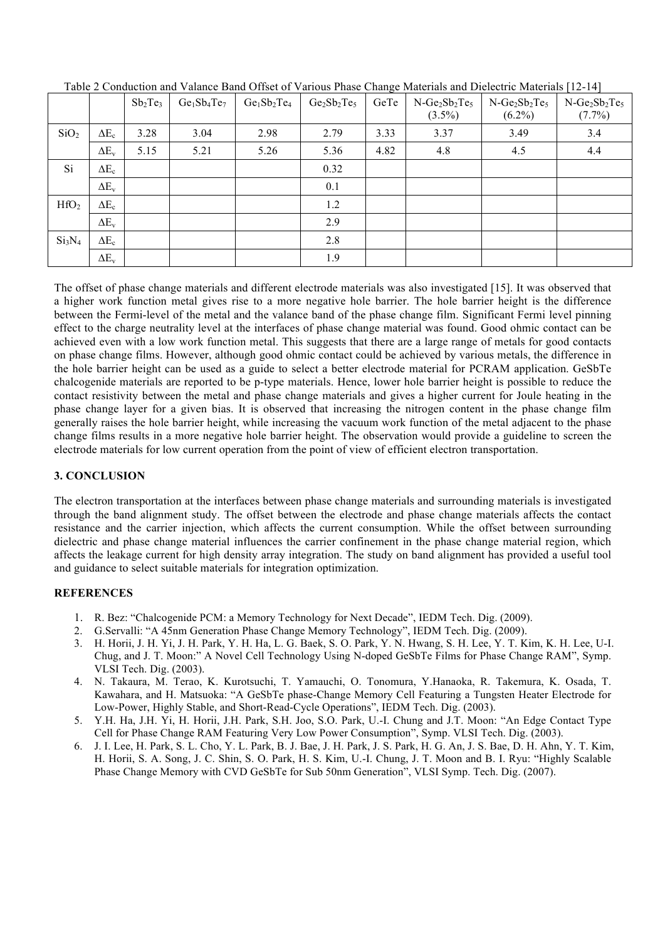|                                |              | $Sb_2Te_3$ | $Ge1Sb4Te7$ | $Ge1Sb2Te4$ | $Ge_2Sb_2Te_5$ | GeTe | $N-Ge_2Sb_2Te_5$<br>$(3.5\%)$ | $N-Ge_2Sb_2Te_5$<br>$(6.2\%)$ | $N-Ge_2Sb_2Te_5$<br>$(7.7\%)$ |
|--------------------------------|--------------|------------|-------------|-------------|----------------|------|-------------------------------|-------------------------------|-------------------------------|
| SiO <sub>2</sub>               | $\Delta E_c$ | 3.28       | 3.04        | 2.98        | 2.79           | 3.33 | 3.37                          | 3.49                          | 3.4                           |
|                                | $\Delta E_v$ | 5.15       | 5.21        | 5.26        | 5.36           | 4.82 | 4.8                           | 4.5                           | 4.4                           |
| Si                             | $\Delta E_c$ |            |             |             | 0.32           |      |                               |                               |                               |
|                                | $\Delta E_v$ |            |             |             | 0.1            |      |                               |                               |                               |
| HfO <sub>2</sub>               | $\Delta E_c$ |            |             |             | 1.2            |      |                               |                               |                               |
|                                | $\Delta E_v$ |            |             |             | 2.9            |      |                               |                               |                               |
| Si <sub>3</sub> N <sub>4</sub> | $\Delta E_c$ |            |             |             | 2.8            |      |                               |                               |                               |
|                                | $\Delta E_v$ |            |             |             | 1.9            |      |                               |                               |                               |

Table 2 Conduction and Valance Band Offset of Various Phase Change Materials and Dielectric Materials [12-14]

The offset of phase change materials and different electrode materials was also investigated [15]. It was observed that a higher work function metal gives rise to a more negative hole barrier. The hole barrier height is the difference between the Fermi-level of the metal and the valance band of the phase change film. Significant Fermi level pinning effect to the charge neutrality level at the interfaces of phase change material was found. Good ohmic contact can be achieved even with a low work function metal. This suggests that there are a large range of metals for good contacts on phase change films. However, although good ohmic contact could be achieved by various metals, the difference in the hole barrier height can be used as a guide to select a better electrode material for PCRAM application. GeSbTe chalcogenide materials are reported to be p-type materials. Hence, lower hole barrier height is possible to reduce the contact resistivity between the metal and phase change materials and gives a higher current for Joule heating in the phase change layer for a given bias. It is observed that increasing the nitrogen content in the phase change film generally raises the hole barrier height, while increasing the vacuum work function of the metal adjacent to the phase change films results in a more negative hole barrier height. The observation would provide a guideline to screen the electrode materials for low current operation from the point of view of efficient electron transportation.

## **3. CONCLUSION**

The electron transportation at the interfaces between phase change materials and surrounding materials is investigated through the band alignment study. The offset between the electrode and phase change materials affects the contact resistance and the carrier injection, which affects the current consumption. While the offset between surrounding dielectric and phase change material influences the carrier confinement in the phase change material region, which affects the leakage current for high density array integration. The study on band alignment has provided a useful tool and guidance to select suitable materials for integration optimization.

# **REFERENCES**

- 1. R. Bez: "Chalcogenide PCM: a Memory Technology for Next Decade", IEDM Tech. Dig. (2009).
- 2. G.Servalli: "A 45nm Generation Phase Change Memory Technology", IEDM Tech. Dig. (2009).
- 3. H. Horii, J. H. Yi, J. H. Park, Y. H. Ha, L. G. Baek, S. O. Park, Y. N. Hwang, S. H. Lee, Y. T. Kim, K. H. Lee, U-I. Chug, and J. T. Moon:" A Novel Cell Technology Using N-doped GeSbTe Films for Phase Change RAM", Symp. VLSI Tech. Dig. (2003).
- 4. N. Takaura, M. Terao, K. Kurotsuchi, T. Yamauchi, O. Tonomura, Y.Hanaoka, R. Takemura, K. Osada, T. Kawahara, and H. Matsuoka: "A GeSbTe phase-Change Memory Cell Featuring a Tungsten Heater Electrode for Low-Power, Highly Stable, and Short-Read-Cycle Operations", IEDM Tech. Dig. (2003).
- 5. Y.H. Ha, J.H. Yi, H. Horii, J.H. Park, S.H. Joo, S.O. Park, U.-I. Chung and J.T. Moon: "An Edge Contact Type Cell for Phase Change RAM Featuring Very Low Power Consumption", Symp. VLSI Tech. Dig. (2003).
- 6. J. I. Lee, H. Park, S. L. Cho, Y. L. Park, B. J. Bae, J. H. Park, J. S. Park, H. G. An, J. S. Bae, D. H. Ahn, Y. T. Kim, H. Horii, S. A. Song, J. C. Shin, S. O. Park, H. S. Kim, U.-I. Chung, J. T. Moon and B. I. Ryu: "Highly Scalable Phase Change Memory with CVD GeSbTe for Sub 50nm Generation", VLSI Symp. Tech. Dig. (2007).